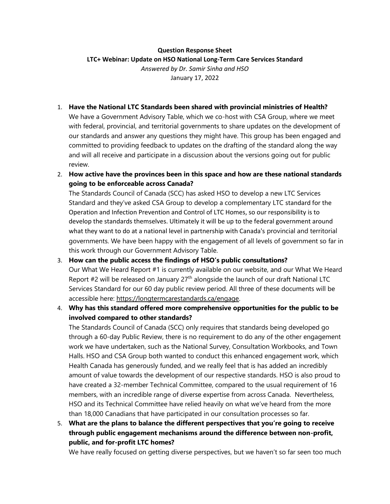## **Question Response Sheet**

## **LTC+ Webinar: Update on HSO National Long-Term Care Services Standard**

*Answered by Dr. Samir Sinha and HSO* January 17, 2022

## 1. **Have the National LTC Standards been shared with provincial ministries of Health?**

We have a Government Advisory Table, which we co-host with CSA Group, where we meet with federal, provincial, and territorial governments to share updates on the development of our standards and answer any questions they might have. This group has been engaged and committed to providing feedback to updates on the drafting of the standard along the way and will all receive and participate in a discussion about the versions going out for public review.

2. **How active have the provinces been in this space and how are these national standards going to be enforceable across Canada?** 

The Standards Council of Canada (SCC) has asked HSO to develop a new LTC Services Standard and they've asked CSA Group to develop a complementary LTC standard for the Operation and Infection Prevention and Control of LTC Homes, so our responsibility is to develop the standards themselves. Ultimately it will be up to the federal government around what they want to do at a national level in partnership with Canada's provincial and territorial governments. We have been happy with the engagement of all levels of government so far in this work through our Government Advisory Table.

- 3. **How can the public access the findings of HSO's public consultations?** Our What We Heard Report #1 is currently available on our website, and our What We Heard Report #2 will be released on January 27<sup>th</sup> alongside the launch of our draft National LTC Services Standard for our 60 day public review period. All three of these documents will be accessible here: [https://longtermcarestandards.ca/engage.](https://can01.safelinks.protection.outlook.com/?url=https%3A%2F%2Fsmex12-5-en-ctp.trendmicro.com%2Fwis%2Fclicktime%2Fv1%2Fquery%3Furl%3Dhttps%253a%252f%252flongtermcarestandards.ca%252fengage%26umid%3Db77eec63-3460-4f5a-9b80-8f37b425a669%26auth%3D7ca93b809bcfb9c9f699208886af25f50d59d5af-7061c39578b61fd5712a159e2fb6cb4c764e8ef9&data=04%7C01%7CJoanna.Burke-Bajaj%40hec-esc.ca%7C9fdf07aaf54a4b362fa708d9dc49db18%7C4d74996a83c546188a0d363602db81af%7C0%7C1%7C637783032057690987%7CUnknown%7CTWFpbGZsb3d8eyJWIjoiMC4wLjAwMDAiLCJQIjoiV2luMzIiLCJBTiI6Ik1haWwiLCJXVCI6Mn0%3D%7C1000&sdata=M4E5T7MLeKuEagas8Tugq8w0Jsga0z6MM5n01nGzaNA%3D&reserved=0)
- 4. **Why has this standard offered more comprehensive opportunities for the public to be involved compared to other standards?**

The Standards Council of Canada (SCC) only requires that standards being developed go through a 60-day Public Review, there is no requirement to do any of the other engagement work we have undertaken, such as the National Survey, Consultation Workbooks, and Town Halls. HSO and CSA Group both wanted to conduct this enhanced engagement work, which Health Canada has generously funded, and we really feel that is has added an incredibly amount of value towards the development of our respective standards. HSO is also proud to have created a 32-member Technical Committee, compared to the usual requirement of 16 members, with an incredible range of diverse expertise from across Canada. Nevertheless, HSO and its Technical Committee have relied heavily on what we've heard from the more than 18,000 Canadians that have participated in our consultation processes so far.

5. **What are the plans to balance the different perspectives that you're going to receive through public engagement mechanisms around the difference between non-profit, public, and for-profit LTC homes?**

We have really focused on getting diverse perspectives, but we haven't so far seen too much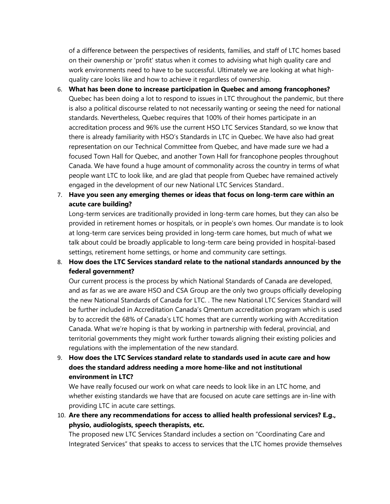of a difference between the perspectives of residents, families, and staff of LTC homes based on their ownership or 'profit' status when it comes to advising what high quality care and work environments need to have to be successful. Ultimately we are looking at what highquality care looks like and how to achieve it regardless of ownership.

- 6. **What has been done to increase participation in Quebec and among francophones?**  Quebec has been doing a lot to respond to issues in LTC throughout the pandemic, but there is also a political discourse related to not necessarily wanting or seeing the need for national standards. Nevertheless, Quebec requires that 100% of their homes participate in an accreditation process and 96% use the current HSO LTC Services Standard, so we know that there is already familiarity with HSO's Standards in LTC in Quebec. We have also had great representation on our Technical Committee from Quebec, and have made sure we had a focused Town Hall for Quebec, and another Town Hall for francophone peoples throughout Canada. We have found a huge amount of commonality across the country in terms of what people want LTC to look like, and are glad that people from Quebec have remained actively engaged in the development of our new National LTC Services Standard..
- 7. **Have you seen any emerging themes or ideas that focus on long-term care within an acute care building?**

Long-term services are traditionally provided in long-term care homes, but they can also be provided in retirement homes or hospitals, or in people's own homes. Our mandate is to look at long-term care services being provided in long-term care homes, but much of what we talk about could be broadly applicable to long-term care being provided in hospital-based settings, retirement home settings, or home and community care settings.

8. **How does the LTC Services standard relate to the national standards announced by the federal government?** 

Our current process is the process by which National Standards of Canada are developed, and as far as we are aware HSO and CSA Group are the only two groups officially developing the new National Standards of Canada for LTC. . The new National LTC Services Standard will be further included in Accreditation Canada's Qmentum accreditation program which is used by to accredit the 68% of Canada's LTC homes that are currently working with Accreditation Canada. What we're hoping is that by working in partnership with federal, provincial, and territorial governments they might work further towards aligning their existing policies and regulations with the implementation of the new standard.

9. **How does the LTC Services standard relate to standards used in acute care and how does the standard address needing a more home-like and not institutional environment in LTC?**

We have really focused our work on what care needs to look like in an LTC home, and whether existing standards we have that are focused on acute care settings are in-line with providing LTC in acute care settings.

10. **Are there any recommendations for access to allied health professional services? E.g., physio, audiologists, speech therapists, etc.** 

The proposed new LTC Services Standard includes a section on "Coordinating Care and Integrated Services" that speaks to access to services that the LTC homes provide themselves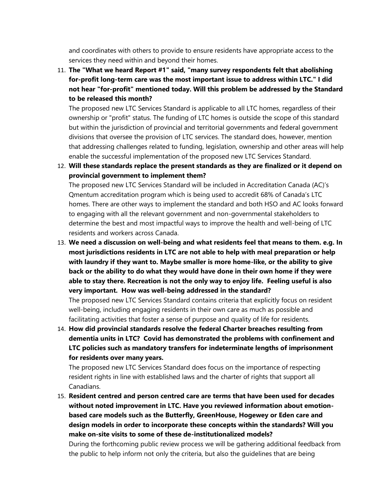and coordinates with others to provide to ensure residents have appropriate access to the services they need within and beyond their homes.

11. **The "What we heard Report #1" said, "many survey respondents felt that abolishing for-profit long-term care was the most important issue to address within LTC." I did not hear "for-profit" mentioned today. Will this problem be addressed by the Standard to be released this month?** 

The proposed new LTC Services Standard is applicable to all LTC homes, regardless of their ownership or "profit" status. The funding of LTC homes is outside the scope of this standard but within the jurisdiction of provincial and territorial governments and federal government divisions that oversee the provision of LTC services. The standard does, however, mention that addressing challenges related to funding, legislation, ownership and other areas will help enable the successful implementation of the proposed new LTC Services Standard.

12. **Will these standards replace the present standards as they are finalized or it depend on provincial government to implement them?** 

The proposed new LTC Services Standard will be included in Accreditation Canada (AC)'s Qmentum accreditation program which is being used to accredit 68% of Canada's LTC homes. There are other ways to implement the standard and both HSO and AC looks forward to engaging with all the relevant government and non-governmental stakeholders to determine the best and most impactful ways to improve the health and well-being of LTC residents and workers across Canada.

13. **We need a discussion on well-being and what residents feel that means to them. e.g. In most jurisdictions residents in LTC are not able to help with meal preparation or help with laundry if they want to. Maybe smaller is more home-like, or the ability to give back or the ability to do what they would have done in their own home if they were able to stay there. Recreation is not the only way to enjoy life. Feeling useful is also very important. How was well-being addressed in the standard?**

The proposed new LTC Services Standard contains criteria that explicitly focus on resident well-being, including engaging residents in their own care as much as possible and facilitating activities that foster a sense of purpose and quality of life for residents.

14. **How did provincial standards resolve the federal Charter breaches resulting from dementia units in LTC? Covid has demonstrated the problems with confinement and LTC policies such as mandatory transfers for indeterminate lengths of imprisonment for residents over many years.**

The proposed new LTC Services Standard does focus on the importance of respecting resident rights in line with established laws and the charter of rights that support all Canadians.

15. **Resident centred and person centred care are terms that have been used for decades without noted improvement in LTC. Have you reviewed information about emotionbased care models such as the Butterfly, GreenHouse, Hogewey or Eden care and design models in order to incorporate these concepts within the standards? Will you make on-site visits to some of these de-institutionalized models?** 

During the forthcoming public review process we will be gathering additional feedback from the public to help inform not only the criteria, but also the guidelines that are being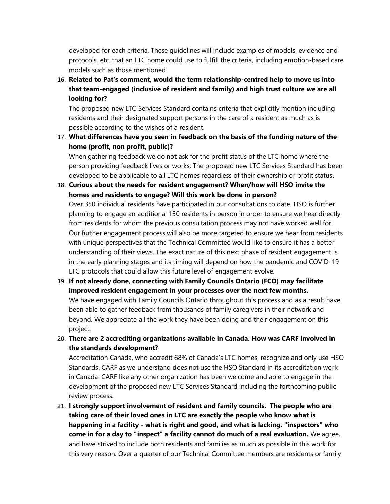developed for each criteria. These guidelines will include examples of models, evidence and protocols, etc. that an LTC home could use to fulfill the criteria, including emotion-based care models such as those mentioned.

16. **Related to Pat's comment, would the term relationship-centred help to move us into that team-engaged (inclusive of resident and family) and high trust culture we are all looking for?**

The proposed new LTC Services Standard contains criteria that explicitly mention including residents and their designated support persons in the care of a resident as much as is possible according to the wishes of a resident.

17. **What differences have you seen in feedback on the basis of the funding nature of the home (profit, non profit, public)?**

When gathering feedback we do not ask for the profit status of the LTC home where the person providing feedback lives or works. The proposed new LTC Services Standard has been developed to be applicable to all LTC homes regardless of their ownership or profit status.

18. **Curious about the needs for resident engagement? When/how will HSO invite the homes and residents to engage? Will this work be done in person?**

Over 350 individual residents have participated in our consultations to date. HSO is further planning to engage an additional 150 residents in person in order to ensure we hear directly from residents for whom the previous consultation process may not have worked well for. Our further engagement process will also be more targeted to ensure we hear from residents with unique perspectives that the Technical Committee would like to ensure it has a better understanding of their views. The exact nature of this next phase of resident engagement is in the early planning stages and its timing will depend on how the pandemic and COVID-19 LTC protocols that could allow this future level of engagement evolve.

- 19. **If not already done, connecting with Family Councils Ontario (FCO) may facilitate improved resident engagement in your processes over the next few months.** We have engaged with Family Councils Ontario throughout this process and as a result have been able to gather feedback from thousands of family caregivers in their network and beyond. We appreciate all the work they have been doing and their engagement on this project.
- 20. **There are 2 accrediting organizations available in Canada. How was CARF involved in the standards development?**

Accreditation Canada, who accredit 68% of Canada's LTC homes, recognize and only use HSO Standards. CARF as we understand does not use the HSO Standard in its accreditation work in Canada. CARF like any other organization has been welcome and able to engage in the development of the proposed new LTC Services Standard including the forthcoming public review process.

21. **I strongly support involvement of resident and family councils. The people who are taking care of their loved ones in LTC are exactly the people who know what is happening in a facility - what is right and good, and what is lacking. "inspectors" who come in for a day to "inspect" a facility cannot do much of a real evaluation.** We agree, and have strived to include both residents and families as much as possible in this work for this very reason. Over a quarter of our Technical Committee members are residents or family